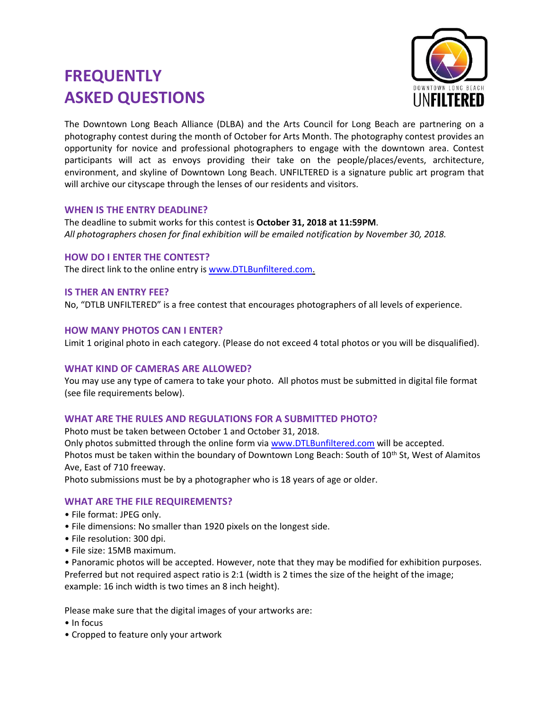# **FREQUENTLY ASKED QUESTIONS**



The Downtown Long Beach Alliance (DLBA) and the Arts Council for Long Beach are partnering on a photography contest during the month of October for Arts Month. The photography contest provides an opportunity for novice and professional photographers to engage with the downtown area. Contest participants will act as envoys providing their take on the people/places/events, architecture, environment, and skyline of Downtown Long Beach. UNFILTERED is a signature public art program that will archive our cityscape through the lenses of our residents and visitors.

### **WHEN IS THE ENTRY DEADLINE?**

The deadline to submit works for this contest is **October 31, 2018 at 11:59PM**. *All photographers chosen for final exhibition will be emailed notification by November 30, 2018.*

## **HOW DO I ENTER THE CONTEST?**

The direct link to the online entry is [www.DTLBunfiltered.com.](http://www.dtlbunfiltered.com/)

### **IS THER AN ENTRY FEE?**

No, "DTLB UNFILTERED" is a free contest that encourages photographers of all levels of experience.

### **HOW MANY PHOTOS CAN I ENTER?**

Limit 1 original photo in each category. (Please do not exceed 4 total photos or you will be disqualified).

### **WHAT KIND OF CAMERAS ARE ALLOWED?**

You may use any type of camera to take your photo. All photos must be submitted in digital file format (see file requirements below).

# **WHAT ARE THE RULES AND REGULATIONS FOR A SUBMITTED PHOTO?**

Photo must be taken between October 1 and October 31, 2018.

Only photos submitted through the online form via [www.DTLBunfiltered.com](http://www.dtlbunfiltered.com/) will be accepted. Photos must be taken within the boundary of Downtown Long Beach: South of 10<sup>th</sup> St, West of Alamitos Ave, East of 710 freeway.

Photo submissions must be by a photographer who is 18 years of age or older.

### **WHAT ARE THE FILE REQUIREMENTS?**

- File format: JPEG only.
- File dimensions: No smaller than 1920 pixels on the longest side.
- File resolution: 300 dpi.
- File size: 15MB maximum.

• Panoramic photos will be accepted. However, note that they may be modified for exhibition purposes. Preferred but not required aspect ratio is 2:1 (width is 2 times the size of the height of the image; example: 16 inch width is two times an 8 inch height).

Please make sure that the digital images of your artworks are:

- In focus
- Cropped to feature only your artwork